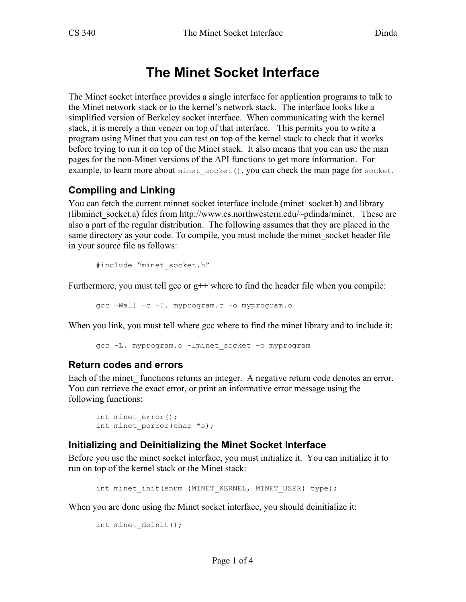# **The Minet Socket Interface**

The Minet socket interface provides a single interface for application programs to talk to the Minet network stack or to the kernel's network stack. The interface looks like a simplified version of Berkeley socket interface. When communicating with the kernel stack, it is merely a thin veneer on top of that interface. This permits you to write a program using Minet that you can test on top of the kernel stack to check that it works before trying to run it on top of the Minet stack. It also means that you can use the man pages for the non-Minet versions of the API functions to get more information. For example, to learn more about minet socket(), you can check the man page for socket.

#### **Compiling and Linking**

You can fetch the current minnet socket interface include (minet socket.h) and library (libminet socket.a) files from http://www.cs.northwestern.edu/~pdinda/minet. These are also a part of the regular distribution. The following assumes that they are placed in the same directory as your code. To compile, you must include the minet socket header file in your source file as follows:

```
#include "minet socket.h"
```
Furthermore, you must tell gcc or  $g++$  where to find the header file when you compile:

gcc –Wall –c –I. myprogram.c –o myprogram.o

When you link, you must tell where gcc where to find the minet library and to include it:

gcc –L. myprogram.o –lminet\_socket –o myprogram

#### **Return codes and errors**

Each of the minet functions returns an integer. A negative return code denotes an error. You can retrieve the exact error, or print an informative error message using the following functions:

```
int minet error();
int minet perror(char *s);
```
#### **Initializing and Deinitializing the Minet Socket Interface**

Before you use the minet socket interface, you must initialize it. You can initialize it to run on top of the kernel stack or the Minet stack:

int minet init(enum {MINET KERNEL, MINET USER} type);

When you are done using the Minet socket interface, you should deinitialize it:

```
int minet deinit();
```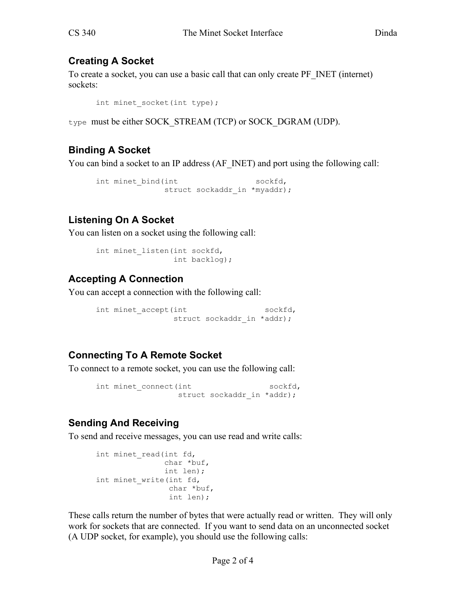## **Creating A Socket**

To create a socket, you can use a basic call that can only create PF\_INET (internet) sockets:

```
int minet socket(int type);
```
type must be either SOCK\_STREAM (TCP) or SOCK\_DGRAM (UDP).

## **Binding A Socket**

You can bind a socket to an IP address (AF\_INET) and port using the following call:

```
int minet bind(int sockfd,
           struct sockaddr in *myaddr);
```
## **Listening On A Socket**

You can listen on a socket using the following call:

```
int minet listen(int sockfd,
                   int backlog);
```
## **Accepting A Connection**

You can accept a connection with the following call:

```
int minet accept(int sockfd,
             struct sockaddr in *addr);
```
### **Connecting To A Remote Socket**

To connect to a remote socket, you can use the following call:

```
int minet connect(int sockfd,
              struct sockaddr in *addr);
```
## **Sending And Receiving**

To send and receive messages, you can use read and write calls:

```
int minet read(int fd,
                 char *buf, 
                 int len); 
int minet write(int fd,
                  char *buf, 
                  int len);
```
These calls return the number of bytes that were actually read or written. They will only work for sockets that are connected. If you want to send data on an unconnected socket (A UDP socket, for example), you should use the following calls: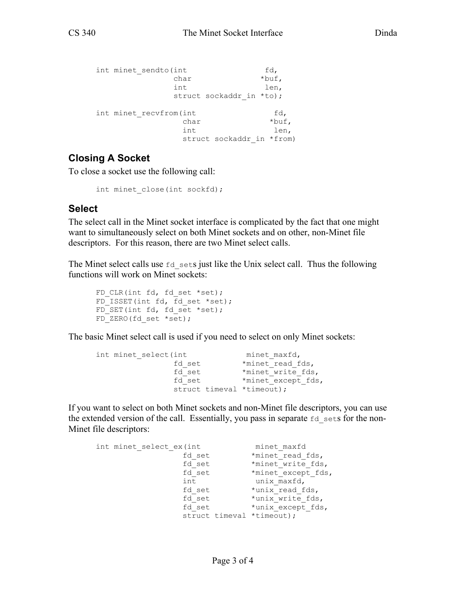```
int minet sendto(int fd,
            char *buf,
             int len, 
            struct sockaddr in *to);
   int minet recvfrom(int fd,
             char *buf,
int len,
             struct sockaddr in *from)
```
#### **Closing A Socket**

To close a socket use the following call:

```
int minet close(int sockfd);
```
#### **Select**

The select call in the Minet socket interface is complicated by the fact that one might want to simultaneously select on both Minet sockets and on other, non-Minet file descriptors. For this reason, there are two Minet select calls.

The Minet select calls use  $f \circ d$  sets just like the Unix select call. Thus the following functions will work on Minet sockets:

```
FD CLR(int fd, fd set *set);
FD ISSET(int fd, fd set *set);
FD SET(int fd, fd set *set);
FD ZERO(fd set *set);
```
The basic Minet select call is used if you need to select on only Minet sockets:

```
int minet select(int minet maxfd,
fd set *minet read fds,
fd_set *minet_write_fds,
fd_set *minet_except_fds,
            struct timeval *timeout);
```
If you want to select on both Minet sockets and non-Minet file descriptors, you can use the extended version of the call. Essentially, you pass in separate  $fd$  sets for the non-Minet file descriptors:

```
int minet select ex(int minet maxfd
fd set *minet read fds,
fd_set *minet_write_fds,
fd_set *minet_except_fds,
int unix_maxfd,
fd set *unix read fds,
fd set *unix write fds,
fd_set *unix_except_fds,
            struct timeval *timeout);
```